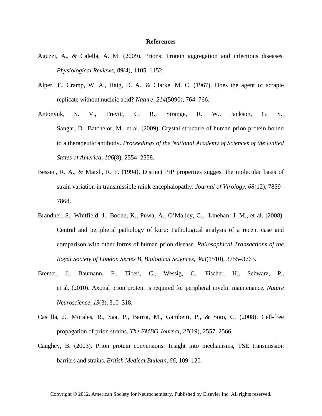## **References**

- Aguzzi, A., & Calella, A. M. (2009). Prions: Protein aggregation and infectious diseases. *Physiological Reviews*, *89*(4), 1105–1152.
- Alper, T., Cramp, W. A., Haig, D. A., & Clarke, M. C. (1967). Does the agent of scrapie replicate without nucleic acid? *Nature*, *214*(5090), 764–766.
- Antonyuk, S. V., Trevitt, C. R., Strange, R. W., Jackson, G. S., Sangar, D., Batchelor, M., et al. (2009). Crystal structure of human prion protein bound to a therapeutic antibody. *Proceedings of the National Academy of Sciences of the United States of America*, *106*(8), 2554–2558.
- Bessen, R. A., & Marsh, R. F. (1994). Distinct PrP properties suggest the molecular basis of strain variation in transmissible mink encephalopathy. *Journal of Virology*, *68*(12), 7859– 7868.
- Brandner, S., Whitfield, J., Boone, K., Puwa, A., O'Malley, C., Linehan, J. M., et al. (2008). Central and peripheral pathology of kuru: Pathological analysis of a recent case and comparison with other forms of human prion disease. *Philosophical Transactions of the Royal Society of London Series B, Biological Sciences*, *363*(1510), 3755–3763.
- Bremer, J., Baumann, F., Tiberi, C., Wessig, C., Fischer, H., Schwarz, P., et al. (2010). Axonal prion protein is required for peripheral myelin maintenance. *Nature Neuroscience*, *13*(3), 310–318.
- Castilla, J., Morales, R., Saa, P., Barria, M., Gambetti, P., & Soto, C. (2008). Cell-free propagation of prion strains. *The EMBO Journal*, *27*(19), 2557–2566.
- Caughey, B. (2003). Prion protein conversions: Insight into mechanisms, TSE transmission barriers and strains. *British Medical Bulletin*, *66*, 109–120.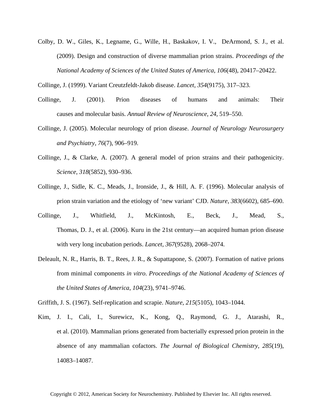Colby, D. W., Giles, K., Legname, G., Wille, H., Baskakov, I. V., DeArmond, S. J., et al. (2009). Design and construction of diverse mammalian prion strains. *Proceedings of the National Academy of Sciences of the United States of America*, *106*(48), 20417–20422.

Collinge, J. (1999). Variant Creutzfeldt-Jakob disease. *Lancet*, *354*(9175), 317–323.

- Collinge, J. (2001). Prion diseases of humans and animals: Their causes and molecular basis. *Annual Review of Neuroscience*, *24*, 519–550.
- Collinge, J. (2005). Molecular neurology of prion disease. *Journal of Neurology Neurosurgery and Psychiatry*, *76*(7), 906–919.
- Collinge, J., & Clarke, A. (2007). A general model of prion strains and their pathogenicity. *Science*, *318*(5852), 930–936.
- Collinge, J., Sidle, K. C., Meads, J., Ironside, J., & Hill, A. F. (1996). Molecular analysis of prion strain variation and the etiology of 'new variant' CJD. *Nature*, *383*(6602), 685–690.
- Collinge, J., Whitfield, J., McKintosh, E., Beck, J., Mead, S., Thomas, D. J., et al. (2006). Kuru in the 21st century—an acquired human prion disease with very long incubation periods. *Lancet*, *367*(9528), 2068–2074.
- Deleault, N. R., Harris, B. T., Rees, J. R., & Supattapone, S. (2007). Formation of native prions from minimal components *in vitro*. *Proceedings of the National Academy of Sciences of the United States of America*, *104*(23), 9741–9746.
- Griffith, J. S. (1967). Self-replication and scrapie. *Nature*, *215*(5105), 1043–1044.
- Kim, J. I., Cali, I., Surewicz, K., Kong, Q., Raymond, G. J., Atarashi, R., et al. (2010). Mammalian prions generated from bacterially expressed prion protein in the absence of any mammalian cofactors. *The Journal of Biological Chemistry*, *285*(19), 14083–14087.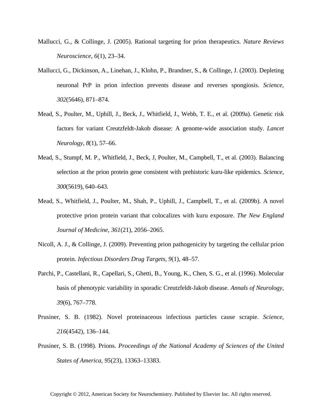- Mallucci, G., & Collinge, J. (2005). Rational targeting for prion therapeutics. *Nature Reviews Neuroscience*, *6*(1), 23–34.
- Mallucci, G., Dickinson, A., Linehan, J., Klohn, P., Brandner, S., & Collinge, J. (2003). Depleting neuronal PrP in prion infection prevents disease and reverses spongiosis. *Science*, *302*(5646), 871–874.
- Mead, S., Poulter, M., Uphill, J., Beck, J., Whitfield, J., Webb, T. E., et al. (2009a). Genetic risk factors for variant Creutzfeldt-Jakob disease: A genome-wide association study. *Lancet Neurology*, *8*(1), 57–66.
- Mead, S., Stumpf, M. P., Whitfield, J., Beck, J, Poulter, M., Campbell, T., et al. (2003). Balancing selection at the prion protein gene consistent with prehistoric kuru-like epidemics. *Science*, *300*(5619), 640–643.
- Mead, S., Whitfield, J., Poulter, M., Shah, P., Uphill, J., Campbell, T., et al. (2009b). A novel protective prion protein variant that colocalizes with kuru exposure. *The New England Journal of Medicine*, *361*(21), 2056–2065.
- Nicoll, A. J., & Collinge, J. (2009). Preventing prion pathogenicity by targeting the cellular prion protein. *Infectious Disorders Drug Targets*, *9*(1), 48–57.
- Parchi, P., Castellani, R., Capellari, S., Ghetti, B., Young, K., Chen, S. G., et al. (1996). Molecular basis of phenotypic variability in sporadic Creutzfeldt-Jakob disease. *Annals of Neurology*, *39*(6), 767–778.
- Prusiner, S. B. (1982). Novel proteinaceous infectious particles cause scrapie. *Science*, *216*(4542), 136–144.
- Prusiner, S. B. (1998). Prions. *Proceedings of the National Academy of Sciences of the United States of America*, *95*(23), 13363–13383.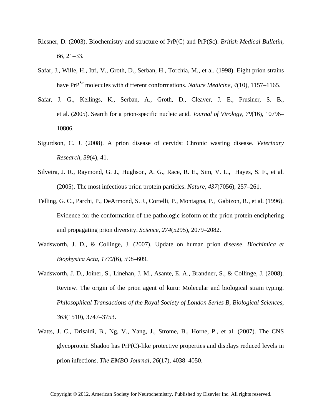- Riesner, D. (2003). Biochemistry and structure of PrP(C) and PrP(Sc). *British Medical Bulletin*, *66*, 21–33.
- Safar, J., Wille, H., Itri, V., Groth, D., Serban, H., Torchia, M., et al. (1998). Eight prion strains have PrP<sup>Sc</sup> molecules with different conformations. *Nature Medicine*, 4(10), 1157–1165.
- Safar, J. G., Kellings, K., Serban, A., Groth, D., Cleaver, J. E., Prusiner, S. B., et al. (2005). Search for a prion-specific nucleic acid. *Journal of Virology*, *79*(16), 10796– 10806.
- Sigurdson, C. J. (2008). A prion disease of cervids: Chronic wasting disease. *Veterinary Research*, *39*(4), 41.
- Silveira, J. R., Raymond, G. J., Hughson, A. G., Race, R. E., Sim, V. L., Hayes, S. F., et al. (2005). The most infectious prion protein particles. *Nature*, *437*(7056), 257–261.
- Telling, G. C., Parchi, P., DeArmond, S. J., Cortelli, P., Montagna, P., Gabizon, R., et al. (1996). Evidence for the conformation of the pathologic isoform of the prion protein enciphering and propagating prion diversity. *Science*, *274*(5295), 2079–2082.
- Wadsworth, J. D., & Collinge, J. (2007). Update on human prion disease. *Biochimica et Biophysica Acta*, *1772*(6), 598–609.
- Wadsworth, J. D., Joiner, S., Linehan, J. M., Asante, E. A., Brandner, S., & Collinge, J. (2008). Review. The origin of the prion agent of kuru: Molecular and biological strain typing. *Philosophical Transactions of the Royal Society of London Series B, Biological Sciences*, *363*(1510), 3747–3753.
- Watts, J. C., Drisaldi, B., Ng, V., Yang, J., Strome, B., Horne, P., et al. (2007). The CNS glycoprotein Shadoo has PrP(C)-like protective properties and displays reduced levels in prion infections. *The EMBO Journal*, *26*(17), 4038–4050.